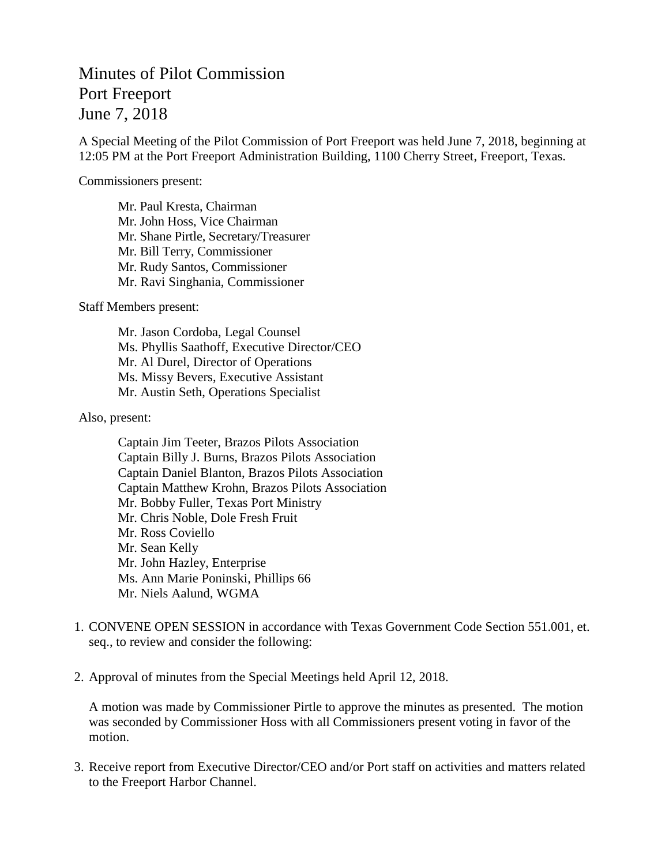## Minutes of Pilot Commission Port Freeport June 7, 2018

A Special Meeting of the Pilot Commission of Port Freeport was held June 7, 2018, beginning at 12:05 PM at the Port Freeport Administration Building, 1100 Cherry Street, Freeport, Texas.

Commissioners present:

Mr. Paul Kresta, Chairman Mr. John Hoss, Vice Chairman Mr. Shane Pirtle, Secretary/Treasurer Mr. Bill Terry, Commissioner Mr. Rudy Santos, Commissioner Mr. Ravi Singhania, Commissioner

Staff Members present:

Mr. Jason Cordoba, Legal Counsel Ms. Phyllis Saathoff, Executive Director/CEO Mr. Al Durel, Director of Operations Ms. Missy Bevers, Executive Assistant Mr. Austin Seth, Operations Specialist

Also, present:

Captain Jim Teeter, Brazos Pilots Association Captain Billy J. Burns, Brazos Pilots Association Captain Daniel Blanton, Brazos Pilots Association Captain Matthew Krohn, Brazos Pilots Association Mr. Bobby Fuller, Texas Port Ministry Mr. Chris Noble, Dole Fresh Fruit Mr. Ross Coviello Mr. Sean Kelly Mr. John Hazley, Enterprise Ms. Ann Marie Poninski, Phillips 66 Mr. Niels Aalund, WGMA

- 1. CONVENE OPEN SESSION in accordance with Texas Government Code Section 551.001, et. seq., to review and consider the following:
- 2. Approval of minutes from the Special Meetings held April 12, 2018.

A motion was made by Commissioner Pirtle to approve the minutes as presented. The motion was seconded by Commissioner Hoss with all Commissioners present voting in favor of the motion.

3. Receive report from Executive Director/CEO and/or Port staff on activities and matters related to the Freeport Harbor Channel.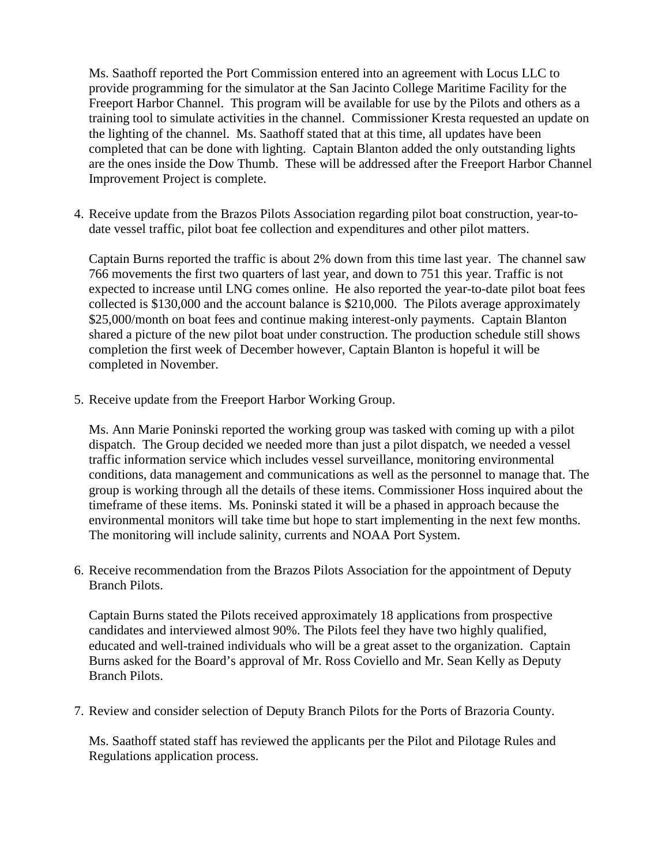Ms. Saathoff reported the Port Commission entered into an agreement with Locus LLC to provide programming for the simulator at the San Jacinto College Maritime Facility for the Freeport Harbor Channel. This program will be available for use by the Pilots and others as a training tool to simulate activities in the channel. Commissioner Kresta requested an update on the lighting of the channel. Ms. Saathoff stated that at this time, all updates have been completed that can be done with lighting. Captain Blanton added the only outstanding lights are the ones inside the Dow Thumb. These will be addressed after the Freeport Harbor Channel Improvement Project is complete.

4. Receive update from the Brazos Pilots Association regarding pilot boat construction, year-todate vessel traffic, pilot boat fee collection and expenditures and other pilot matters.

Captain Burns reported the traffic is about 2% down from this time last year. The channel saw 766 movements the first two quarters of last year, and down to 751 this year. Traffic is not expected to increase until LNG comes online. He also reported the year-to-date pilot boat fees collected is \$130,000 and the account balance is \$210,000. The Pilots average approximately \$25,000/month on boat fees and continue making interest-only payments. Captain Blanton shared a picture of the new pilot boat under construction. The production schedule still shows completion the first week of December however, Captain Blanton is hopeful it will be completed in November.

5. Receive update from the Freeport Harbor Working Group.

Ms. Ann Marie Poninski reported the working group was tasked with coming up with a pilot dispatch. The Group decided we needed more than just a pilot dispatch, we needed a vessel traffic information service which includes vessel surveillance, monitoring environmental conditions, data management and communications as well as the personnel to manage that. The group is working through all the details of these items. Commissioner Hoss inquired about the timeframe of these items. Ms. Poninski stated it will be a phased in approach because the environmental monitors will take time but hope to start implementing in the next few months. The monitoring will include salinity, currents and NOAA Port System.

6. Receive recommendation from the Brazos Pilots Association for the appointment of Deputy Branch Pilots.

Captain Burns stated the Pilots received approximately 18 applications from prospective candidates and interviewed almost 90%. The Pilots feel they have two highly qualified, educated and well-trained individuals who will be a great asset to the organization. Captain Burns asked for the Board's approval of Mr. Ross Coviello and Mr. Sean Kelly as Deputy Branch Pilots.

7. Review and consider selection of Deputy Branch Pilots for the Ports of Brazoria County.

Ms. Saathoff stated staff has reviewed the applicants per the Pilot and Pilotage Rules and Regulations application process.